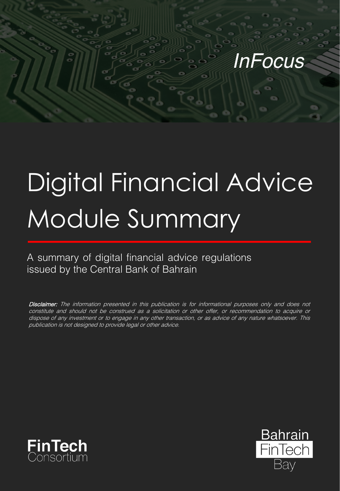# *InFocus*

# Digital Financial Advice Module Summary

A summary of digital financial advice regulations issued by the Central Bank of Bahrain

Disclaimer: The information presented in this publication is for informational purposes only and does not constitute and should not be construed as <sup>a</sup> solicitation or other offer, or recommendation to acquire or dispose of any investment or to engage in any other transaction, or as advice of any nature whatsoever. This publication is not designed to provide legal or other advice.



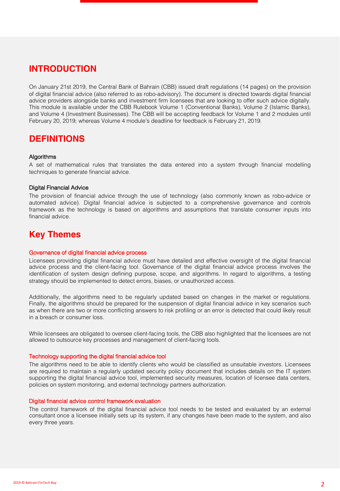# **INTRODUCTION**

On January 21st 2019, the Central Bank of Bahrain (CBB) issued draft regulations (14 pages) on the provision of digital financial advice (also referred to as robo-advisory). The document is directed towards digital financial advice providers alongside banks and investment firm licensees that are looking to offer such advice digitally. This module is available under the CBB Rulebook Volume 1 (Conventional Banks), Volume 2 (Islamic Banks), and Volume 4 (Investment Businesses). The CBB will be accepting feedback for Volume 1 and 2 modules until February 20, 2019; whereas Volume 4 module's deadline for feedback is February 21, 2019.

### **DEFINITIONS**

#### Algorithms

A set of mathematical rules that translates the data entered into a system through financial modelling techniques to generate financial advice.

#### Digital Financial Advice

The provision of financial advice through the use of technology (also commonly known as robo-advice or automated advice). Digital financial advice is subjected to a comprehensive governance and controls framework as the technology is based on algorithms and assumptions that translate consumer inputs into financial advice.

# **Key Themes**

#### Governance of digital financial advice process

Licensees providing digital financial advice must have detailed and effective oversight of the digital financial advice process and the client-facing tool. Governance of the digital financial advice process involves the identification of system design defining purpose, scope, and algorithms. In regard to algorithms, a testing strategy should be implemented to detect errors, biases, or unauthorized access.

Additionally, the algorithms need to be regularly updated based on changes in the market or regulations. Finally, the algorithms should be prepared for the suspension of digital financial advice in key scenarios such as when there are two or more conflicting answers to risk profiling or an error is detected that could likely result in a breach or consumer loss.

While licensees are obligated to oversee client-facing tools, the CBB also highlighted that the licensees are not allowed to outsource key processes and management of client-facing tools.

#### Technology supporting the digital financial advice tool

The algorithms need to be able to identify clients who would be classified as unsuitable investors. Licensees are required to maintain a regularly updated security policy document that includes details on the IT system supporting the digital financial advice tool, implemented security measures, location of licensee data centers, policies on system monitoring, and external technology partners authorization.

#### Digital financial advice control framework evaluation

The control framework of the digital financial advice tool needs to be tested and evaluated by an external consultant once a licensee initially sets up its system, if any changes have been made to the system, and also every three years.